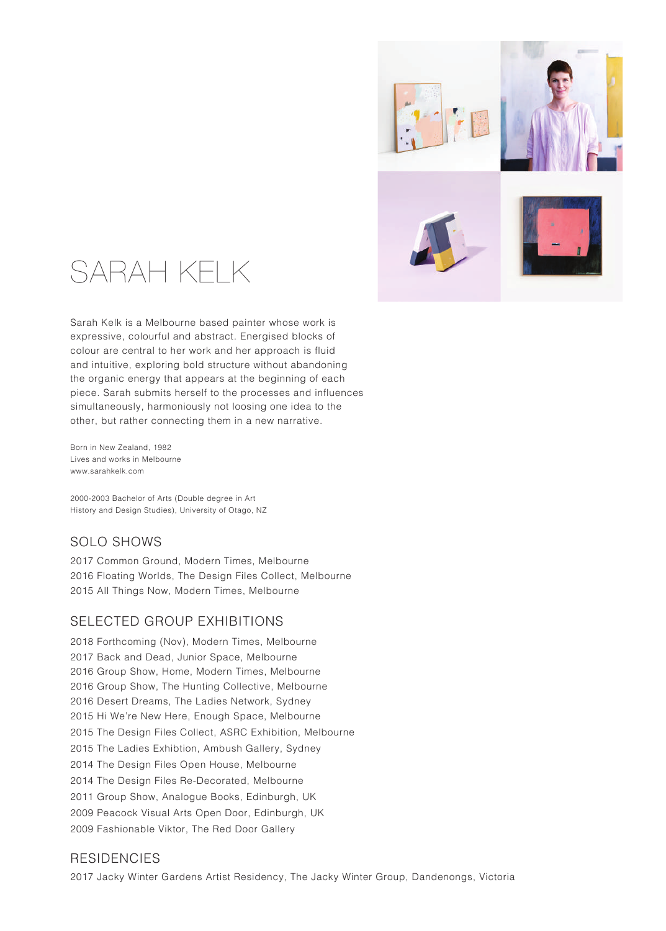

# SARAH KELK

Sarah Kelk is a Melbourne based painter whose work is expressive, colourful and abstract. Energised blocks of colour are central to her work and her approach is fluid and intuitive, exploring bold structure without abandoning the organic energy that appears at the beginning of each piece. Sarah submits herself to the processes and influences simultaneously, harmoniously not loosing one idea to the other, but rather connecting them in a new narrative.

Born in New Zealand, 1982 Lives and works in Melbourne www.sarahkelk.com

2000-2003 Bachelor of Arts (Double degree in Art History and Design Studies), University of Otago, NZ

## SOLO SHOWS

2015 All Things Now, Modern Times, Melbourne 2016 Floating Worlds, The Design Files Collect, Melbourne 2017 Common Ground, Modern Times, Melbourne

### SELECTED GROUP EXHIBITIONS

2015 Hi We're New Here, Enough Space, Melbourne 2015 The Design Files Collect, ASRC Exhibition, Melbourne 2015 The Ladies Exhibtion, Ambush Gallery, Sydney 2014 The Design Files Open House, Melbourne 2014 The Design Files Re-Decorated, Melbourne 2011 Group Show, Analogue Books, Edinburgh, UK 2009 Peacock Visual Arts Open Door, Edinburgh, UK 2009 Fashionable Viktor, The Red Door Gallery 2016 Desert Dreams, The Ladies Network, Sydney 2016 Group Show, The Hunting Collective, Melbourne 2016 Group Show, Home, Modern Times, Melbourne 2017 Back and Dead, Junior Space, Melbourne 2018 Forthcoming (Nov), Modern Times, Melbourne

#### RESIDENCIES

2017 Jacky Winter Gardens Artist Residency, The Jacky Winter Group, Dandenongs, Victoria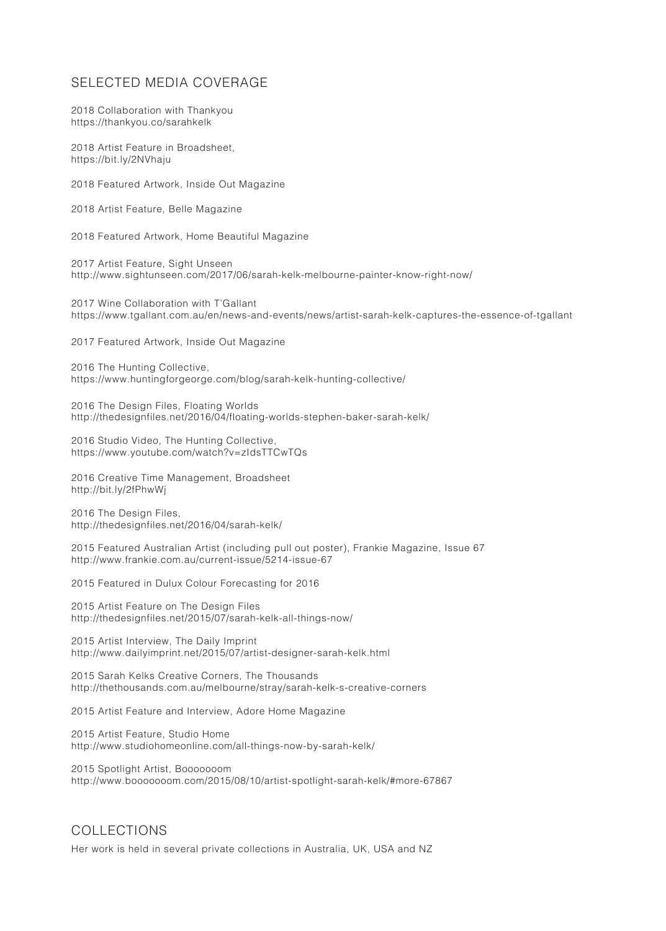#### SELECTED MEDIA COVERAGE

2018 Collaboration with Thankyou https://thankyou.co/sarahkelk

2018 Artist Feature in Broadsheet, https://bit.ly/2NVhaju

2018 Featured Artwork, Inside Out Magazine

2018 Artist Feature, Belle Magazine

2018 Featured Artwork, Home Beautiful Magazine

2017 Artist Feature, Sight Unseen http://www.sightunseen.com/2017/06/sarah-kelk-melbourne-painter-know-right-now/

2017 Wine Collaboration with T'Gallant https://www.tgallant.com.au/en/news-and-events/news/artist-sarah-kelk-captures-the-essence-of-tgallant

2017 Featured Artwork, Inside Out Magazine

2016 The Hunting Collective, https://www.huntingforgeorge.com/blog/sarah-kelk-hunting-collective/

2016 The Design Files, Floating Worlds http://thedesignfiles.net/2016/04/floating-worlds-stephen-baker-sarah-kelk/

2016 Studio Video, The Hunting Collective, https://www.youtube.com/watch?v=zIdsTTCwTQs

2016 Creative Time Management, Broadsheet http://bit.ly/2fPhwWj

2016 The Design Files, http://thedesignfiles.net/2016/04/sarah-kelk/

2015 Featured Australian Artist (including pull out poster), Frankie Magazine, Issue 67 http://www.frankie.com.au/current-issue/5214-issue-67

2015 Featured in Dulux Colour Forecasting for 2016

2015 Artist Feature on The Design Files http://thedesignfiles.net/2015/07/sarah-kelk-all-things-now/

2015 Artist Interview, The Daily Imprint http://www.dailyimprint.net/2015/07/artist-designer-sarah-kelk.html

2015 Sarah Kelks Creative Corners, The Thousands http://thethousands.com.au/melbourne/stray/sarah-kelk-s-creative-corners

2015 Artist Feature and Interview, Adore Home Magazine

2015 Artist Feature, Studio Home http://www.studiohomeonline.com/all-things-now-by-sarah-kelk/

2015 Spotlight Artist, Booooooom http://www.booooooom.com/2015/08/10/artist-spotlight-sarah-kelk/#more-67867

#### COLLECTIONS

Her work is held in several private collections in Australia, UK, USA and NZ